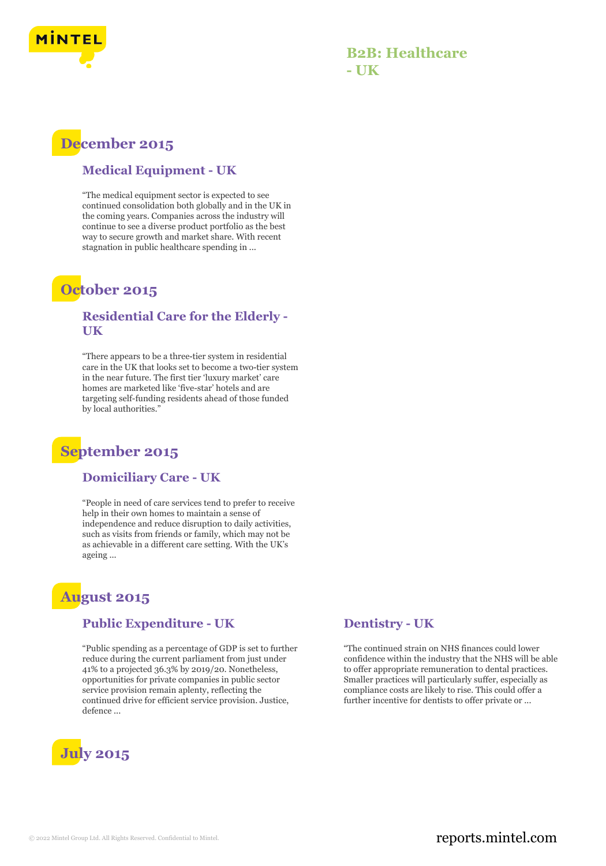

### **B2B: Healthcare - UK**

# **December 2015**

#### **Medical Equipment - UK**

"The medical equipment sector is expected to see continued consolidation both globally and in the UK in the coming years. Companies across the industry will continue to see a diverse product portfolio as the best way to secure growth and market share. With recent stagnation in public healthcare spending in ...

## **October 2015**

#### **Residential Care for the Elderly - UK**

"There appears to be a three‑tier system in residential care in the UK that looks set to become a two-tier system in the near future. The first tier 'luxury market' care homes are marketed like 'five-star' hotels and are targeting self-funding residents ahead of those funded by local authorities.'

# **September 2015**

#### **Domiciliary Care - UK**

"People in need of care services tend to prefer to receive help in their own homes to maintain a sense of independence and reduce disruption to daily activities, such as visits from friends or family, which may not be as achievable in a different care setting. With the UK's ageing ...

# **August 2015**

#### **Public Expenditure - UK**

"Public spending as a percentage of GDP is set to further reduce during the current parliament from just under 41% to a projected 36.3% by 2019/20. Nonetheless, opportunities for private companies in public sector service provision remain aplenty, reflecting the continued drive for efficient service provision. Justice, defence ...



#### **Dentistry - UK**

"The continued strain on NHS finances could lower confidence within the industry that the NHS will be able to offer appropriate remuneration to dental practices. Smaller practices will particularly suffer, especially as compliance costs are likely to rise. This could offer a further incentive for dentists to offer private or ...